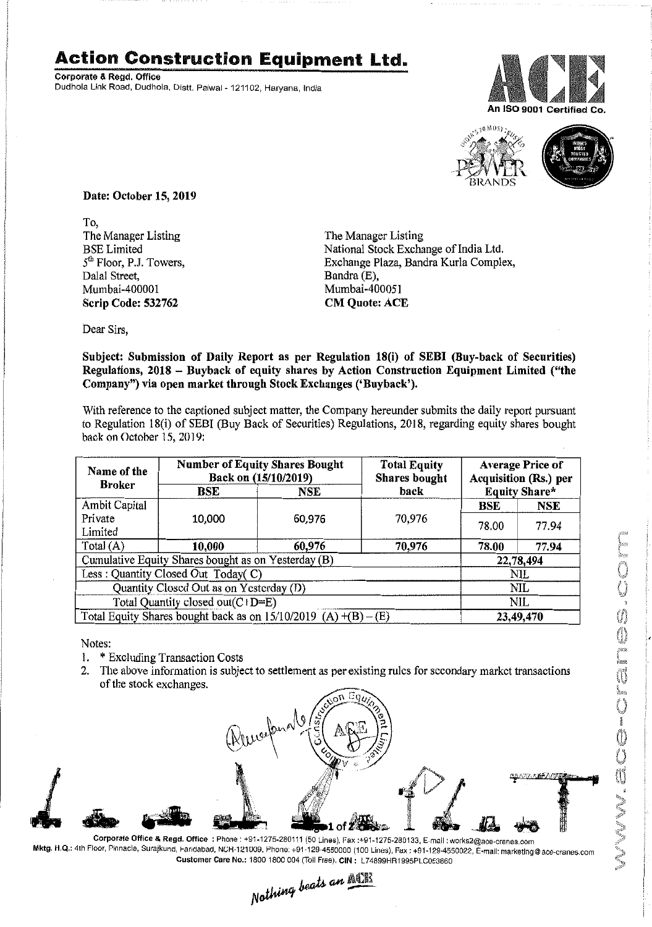## **Action Construction Equipment Ltd.**

Corporate & Regd. Office Dudhola Link Road, Dudhola, Distt. Palwal - *121102,* Haryana, India





Date: October 15, 2019

To, The Manager Listing BSELimited 5<sup>th</sup> Floor, P.J. Towers, Dalal Street, Mumbai-400001 Scrip Code: 532762

The Manager Listing National Stock Exchange of India Ltd. Exchange Plaza, Bandra Kurla Complex, Bandra (E), Mumbai -400051 CM Quote: ACE

Dear Sirs,

Subject: Submission of Daily Report as per Regulation 18(i) of SEBI (Buy-back of Securities) Regulations, 2018 - Buyback of equity shares by Action Construction Equipment Limited ("the Company") via open market through Stock Exchanges ('Buyback').

With reference to the captioned subject matter, the Company hereunder submits the daily report pursuant to Regulation 18(i) of SEBl (Buy Back of Securities) Regulations, 2018, regarding equity shares bought back on October 15, 2019:

| Name of the<br><b>Broker</b>                                        | <b>Number of Equity Shares Bought</b><br>Back on (15/10/2019) |        | <b>Total Equity</b><br><b>Shares bought</b> | <b>Average Price of</b><br>Acquisition (Rs.) per |           |  |
|---------------------------------------------------------------------|---------------------------------------------------------------|--------|---------------------------------------------|--------------------------------------------------|-----------|--|
|                                                                     | BSE                                                           | NSE    | back                                        | <b>Equity Share*</b>                             |           |  |
| Ambit Capital                                                       |                                                               |        |                                             | <b>BSE</b>                                       | NSE       |  |
| Private                                                             | 10,000                                                        | 60,976 | 70,976                                      | 78.00                                            | 77.94     |  |
| Limited                                                             |                                                               |        |                                             |                                                  |           |  |
| Total $(A)$                                                         | 10,000                                                        | 60,976 | 70,976                                      | 78.00                                            | 77.94     |  |
| Cumulative Equity Shares bought as on Yesterday (B)                 |                                                               |        |                                             |                                                  | 22,78,494 |  |
| Less: Quantity Closed Out Today(C)                                  |                                                               |        |                                             | NIL                                              |           |  |
| Quantity Closed Out as on Yesterday (D)                             |                                                               |        |                                             | NIL                                              |           |  |
| Total Quantity closed out(C+D=E)                                    |                                                               |        |                                             | NIL                                              |           |  |
| Total Equity Shares bought back as on $15/10/2019$ (A) $+(B) - (E)$ |                                                               |        |                                             | 23,49,470                                        |           |  |

Notes:

- 1. \* Excluding Transaction Costs
- 2. The above information is subject to settlement as per existing rules for secondary market transactions of the stock exchanges.



Corporate Office & Regd. Office: Phone: +91-1275-280111(50 Lines), Fax:+91-1275-2B0133, E-mail: works2@aoe-cranes.com Mktg. H.Q.: 4th Floor, Pinnacle, Surajkund, Fandabad, NCH-121009, Phone: +91-129-4550000 (100 Lines), Fax : +91-129-4550022, E-mail: marketlng@ace-cranes.com

Customer Care No.: 1800 1800 004 (Toll Free), CIN: L74899HR1995PLC053860<br>Nothing beats an **Matth**